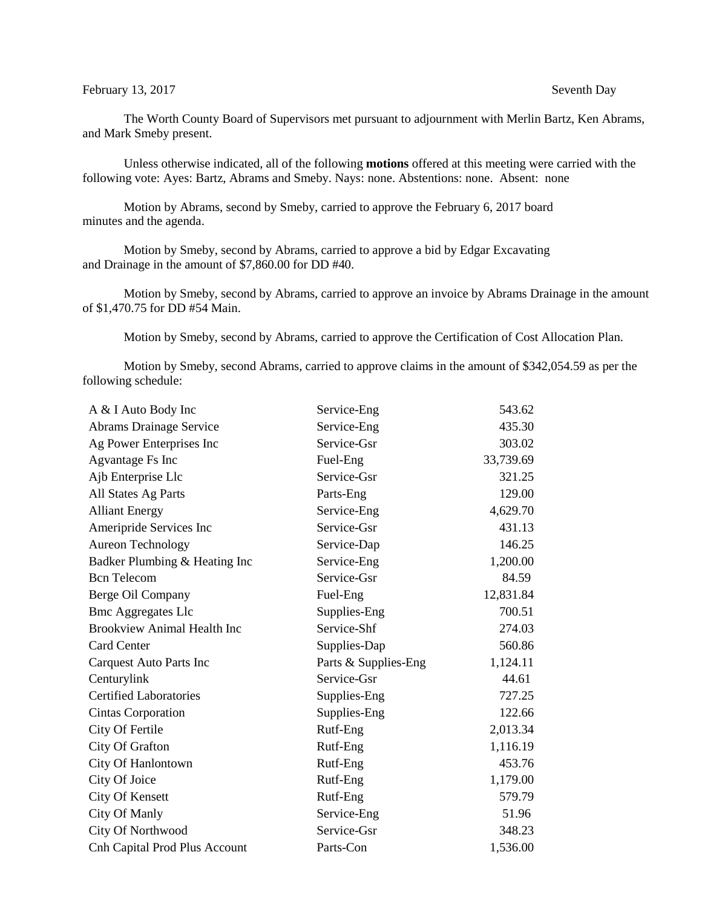## February 13, 2017 Seventh Day

The Worth County Board of Supervisors met pursuant to adjournment with Merlin Bartz, Ken Abrams, and Mark Smeby present.

Unless otherwise indicated, all of the following **motions** offered at this meeting were carried with the following vote: Ayes: Bartz, Abrams and Smeby. Nays: none. Abstentions: none. Absent: none

Motion by Abrams, second by Smeby, carried to approve the February 6, 2017 board minutes and the agenda.

Motion by Smeby, second by Abrams, carried to approve a bid by Edgar Excavating and Drainage in the amount of \$7,860.00 for DD #40.

Motion by Smeby, second by Abrams, carried to approve an invoice by Abrams Drainage in the amount of \$1,470.75 for DD #54 Main.

Motion by Smeby, second by Abrams, carried to approve the Certification of Cost Allocation Plan.

Motion by Smeby, second Abrams, carried to approve claims in the amount of \$342,054.59 as per the following schedule:

| A & I Auto Body Inc                  | Service-Eng          | 543.62    |
|--------------------------------------|----------------------|-----------|
| <b>Abrams Drainage Service</b>       | Service-Eng          | 435.30    |
| Ag Power Enterprises Inc             | Service-Gsr          | 303.02    |
| Agvantage Fs Inc                     | Fuel-Eng             | 33,739.69 |
| Ajb Enterprise Llc                   | Service-Gsr          | 321.25    |
| All States Ag Parts                  | Parts-Eng            | 129.00    |
| <b>Alliant Energy</b>                | Service-Eng          | 4,629.70  |
| Ameripride Services Inc              | Service-Gsr          | 431.13    |
| <b>Aureon Technology</b>             | Service-Dap          | 146.25    |
| Badker Plumbing & Heating Inc        | Service-Eng          | 1,200.00  |
| <b>Bcn</b> Telecom                   | Service-Gsr          | 84.59     |
| Berge Oil Company                    | Fuel-Eng             | 12,831.84 |
| <b>Bmc Aggregates Llc</b>            | Supplies-Eng         | 700.51    |
| <b>Brookview Animal Health Inc</b>   | Service-Shf          | 274.03    |
| <b>Card Center</b>                   | Supplies-Dap         | 560.86    |
| <b>Carquest Auto Parts Inc</b>       | Parts & Supplies-Eng | 1,124.11  |
| Centurylink                          | Service-Gsr          | 44.61     |
| <b>Certified Laboratories</b>        | Supplies-Eng         | 727.25    |
| <b>Cintas Corporation</b>            | Supplies-Eng         | 122.66    |
| City Of Fertile                      | Rutf-Eng             | 2,013.34  |
| <b>City Of Grafton</b>               | Rutf-Eng             | 1,116.19  |
| City Of Hanlontown                   | Rutf-Eng             | 453.76    |
| City Of Joice                        | Rutf-Eng             | 1,179.00  |
| City Of Kensett                      | Rutf-Eng             | 579.79    |
| City Of Manly                        | Service-Eng          | 51.96     |
| City Of Northwood                    | Service-Gsr          | 348.23    |
| <b>Cnh Capital Prod Plus Account</b> | Parts-Con            | 1,536.00  |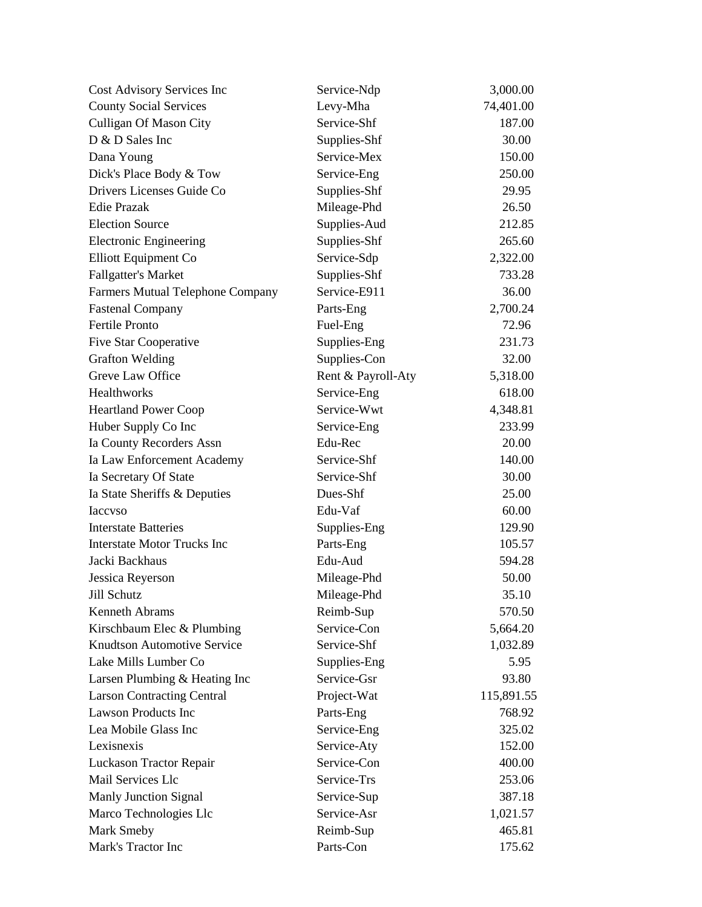| Cost Advisory Services Inc         | Service-Ndp        | 3,000.00   |
|------------------------------------|--------------------|------------|
| <b>County Social Services</b>      | Levy-Mha           | 74,401.00  |
| Culligan Of Mason City             | Service-Shf        | 187.00     |
| D & D Sales Inc                    | Supplies-Shf       | 30.00      |
| Dana Young                         | Service-Mex        | 150.00     |
| Dick's Place Body & Tow            | Service-Eng        | 250.00     |
| Drivers Licenses Guide Co          | Supplies-Shf       | 29.95      |
| <b>Edie Prazak</b>                 | Mileage-Phd        | 26.50      |
| <b>Election Source</b>             | Supplies-Aud       | 212.85     |
| <b>Electronic Engineering</b>      | Supplies-Shf       | 265.60     |
| Elliott Equipment Co               | Service-Sdp        | 2,322.00   |
| <b>Fallgatter's Market</b>         | Supplies-Shf       | 733.28     |
| Farmers Mutual Telephone Company   | Service-E911       | 36.00      |
| <b>Fastenal Company</b>            | Parts-Eng          | 2,700.24   |
| <b>Fertile Pronto</b>              | Fuel-Eng           | 72.96      |
| Five Star Cooperative              | Supplies-Eng       | 231.73     |
| <b>Grafton Welding</b>             | Supplies-Con       | 32.00      |
| Greve Law Office                   | Rent & Payroll-Aty | 5,318.00   |
| Healthworks                        | Service-Eng        | 618.00     |
| <b>Heartland Power Coop</b>        | Service-Wwt        | 4,348.81   |
| Huber Supply Co Inc                | Service-Eng        | 233.99     |
| Ia County Recorders Assn           | Edu-Rec            | 20.00      |
| Ia Law Enforcement Academy         | Service-Shf        | 140.00     |
| Ia Secretary Of State              | Service-Shf        | 30.00      |
| Ia State Sheriffs & Deputies       | Dues-Shf           | 25.00      |
| <b>Iaccyso</b>                     | Edu-Vaf            | 60.00      |
| <b>Interstate Batteries</b>        | Supplies-Eng       | 129.90     |
| <b>Interstate Motor Trucks Inc</b> | Parts-Eng          | 105.57     |
| Jacki Backhaus                     | Edu-Aud            | 594.28     |
| Jessica Reyerson                   | Mileage-Phd        | 50.00      |
| Jill Schutz                        | Mileage-Phd        | 35.10      |
| Kenneth Abrams                     | Reimb-Sup          | 570.50     |
| Kirschbaum Elec & Plumbing         | Service-Con        | 5,664.20   |
| <b>Knudtson Automotive Service</b> | Service-Shf        | 1,032.89   |
| Lake Mills Lumber Co               | Supplies-Eng       | 5.95       |
| Larsen Plumbing & Heating Inc      | Service-Gsr        | 93.80      |
| <b>Larson Contracting Central</b>  | Project-Wat        | 115,891.55 |
| <b>Lawson Products Inc</b>         | Parts-Eng          | 768.92     |
| Lea Mobile Glass Inc               | Service-Eng        | 325.02     |
| Lexisnexis                         | Service-Aty        | 152.00     |
| Luckason Tractor Repair            | Service-Con        | 400.00     |
| Mail Services Llc                  | Service-Trs        | 253.06     |
| <b>Manly Junction Signal</b>       | Service-Sup        | 387.18     |
| Marco Technologies Llc             | Service-Asr        | 1,021.57   |
| Mark Smeby                         | Reimb-Sup          | 465.81     |
| Mark's Tractor Inc                 | Parts-Con          | 175.62     |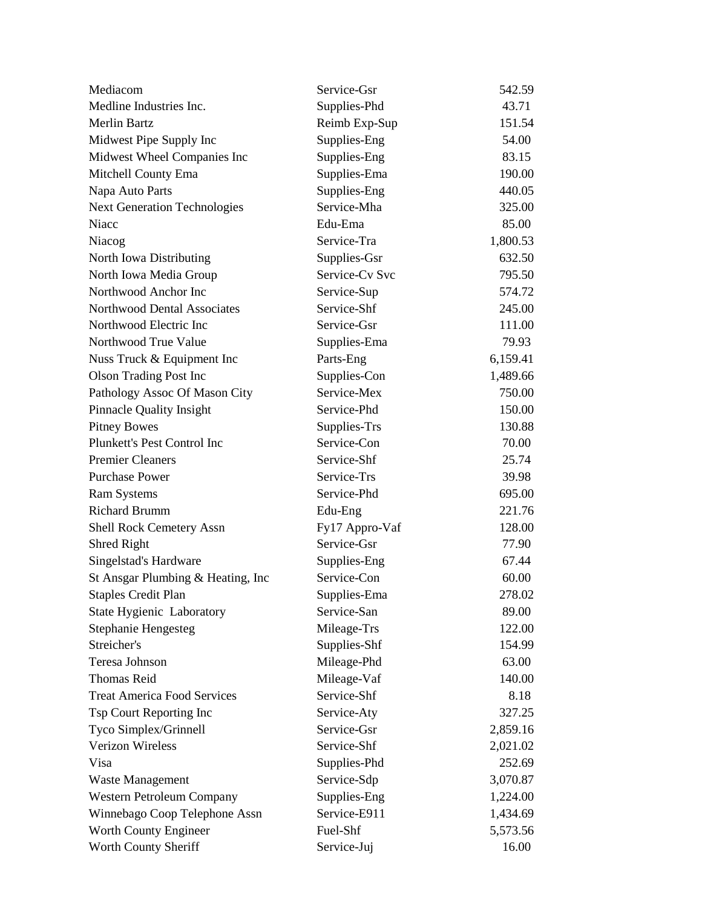| Mediacom                            | Service-Gsr    | 542.59   |
|-------------------------------------|----------------|----------|
| Medline Industries Inc.             | Supplies-Phd   | 43.71    |
| <b>Merlin Bartz</b>                 | Reimb Exp-Sup  | 151.54   |
| Midwest Pipe Supply Inc             | Supplies-Eng   | 54.00    |
| Midwest Wheel Companies Inc         | Supplies-Eng   | 83.15    |
| Mitchell County Ema                 | Supplies-Ema   | 190.00   |
| Napa Auto Parts                     | Supplies-Eng   | 440.05   |
| <b>Next Generation Technologies</b> | Service-Mha    | 325.00   |
| Niacc                               | Edu-Ema        | 85.00    |
| Niacog                              | Service-Tra    | 1,800.53 |
| North Iowa Distributing             | Supplies-Gsr   | 632.50   |
| North Iowa Media Group              | Service-Cv Svc | 795.50   |
| Northwood Anchor Inc                | Service-Sup    | 574.72   |
| Northwood Dental Associates         | Service-Shf    | 245.00   |
| Northwood Electric Inc              | Service-Gsr    | 111.00   |
| Northwood True Value                | Supplies-Ema   | 79.93    |
| Nuss Truck & Equipment Inc          | Parts-Eng      | 6,159.41 |
| <b>Olson Trading Post Inc</b>       | Supplies-Con   | 1,489.66 |
| Pathology Assoc Of Mason City       | Service-Mex    | 750.00   |
| <b>Pinnacle Quality Insight</b>     | Service-Phd    | 150.00   |
| <b>Pitney Bowes</b>                 | Supplies-Trs   | 130.88   |
| Plunkett's Pest Control Inc         | Service-Con    | 70.00    |
| <b>Premier Cleaners</b>             | Service-Shf    | 25.74    |
| <b>Purchase Power</b>               | Service-Trs    | 39.98    |
| <b>Ram Systems</b>                  | Service-Phd    | 695.00   |
| <b>Richard Brumm</b>                | Edu-Eng        | 221.76   |
| <b>Shell Rock Cemetery Assn</b>     | Fy17 Appro-Vaf | 128.00   |
| Shred Right                         | Service-Gsr    | 77.90    |
| Singelstad's Hardware               | Supplies-Eng   | 67.44    |
| St Ansgar Plumbing & Heating, Inc   | Service-Con    | 60.00    |
| <b>Staples Credit Plan</b>          | Supplies-Ema   | 278.02   |
| <b>State Hygienic Laboratory</b>    | Service-San    | 89.00    |
| <b>Stephanie Hengesteg</b>          | Mileage-Trs    | 122.00   |
| Streicher's                         | Supplies-Shf   | 154.99   |
| Teresa Johnson                      | Mileage-Phd    | 63.00    |
| <b>Thomas Reid</b>                  | Mileage-Vaf    | 140.00   |
| <b>Treat America Food Services</b>  | Service-Shf    | 8.18     |
| Tsp Court Reporting Inc             | Service-Aty    | 327.25   |
| Tyco Simplex/Grinnell               | Service-Gsr    | 2,859.16 |
| Verizon Wireless                    | Service-Shf    | 2,021.02 |
| Visa                                | Supplies-Phd   | 252.69   |
| <b>Waste Management</b>             | Service-Sdp    | 3,070.87 |
| Western Petroleum Company           | Supplies-Eng   | 1,224.00 |
| Winnebago Coop Telephone Assn       | Service-E911   | 1,434.69 |
| Worth County Engineer               | Fuel-Shf       | 5,573.56 |
| Worth County Sheriff                | Service-Juj    | 16.00    |
|                                     |                |          |